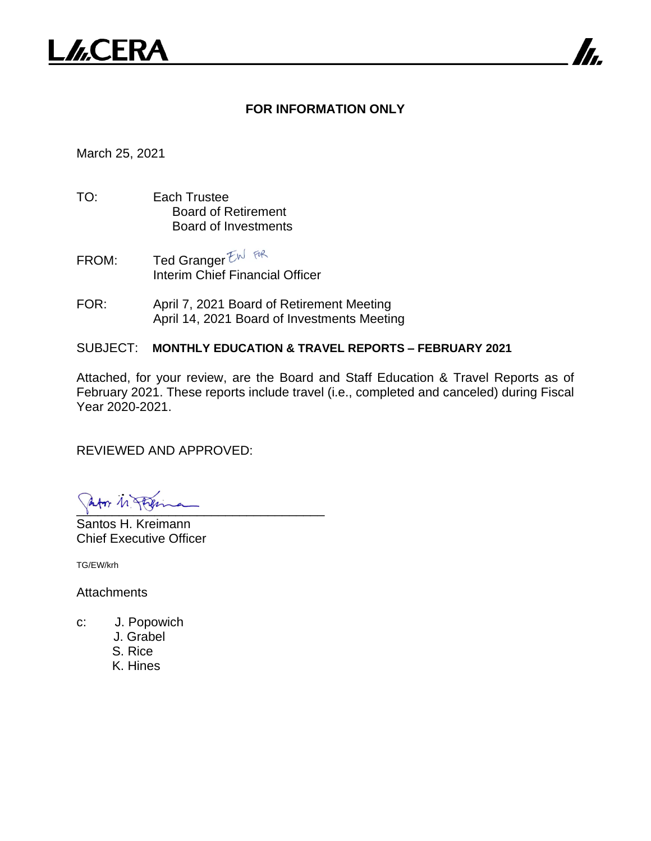

#### **FOR INFORMATION ONLY**

7

March 25, 2021

- TO: Each Trustee Board of Retirement Board of Investments
- FROM: Ted Granger  $EM$  for Interim Chief Financial Officer
- FOR: April 7, 2021 Board of Retirement Meeting April 14, 2021 Board of Investments Meeting

#### SUBJECT: **MONTHLY EDUCATION & TRAVEL REPORTS – FEBRUARY 2021**

Attached, for your review, are the Board and Staff Education & Travel Reports as of February 2021. These reports include travel (i.e., completed and canceled) during Fiscal Year 2020-2021.

REVIEWED AND APPROVED:

Infor 11 Philes

Santos H. Kreimann Chief Executive Officer

TG/EW/krh

**Attachments** 

- c: J. Popowich
	- J. Grabel
	- S. Rice
	- K. Hines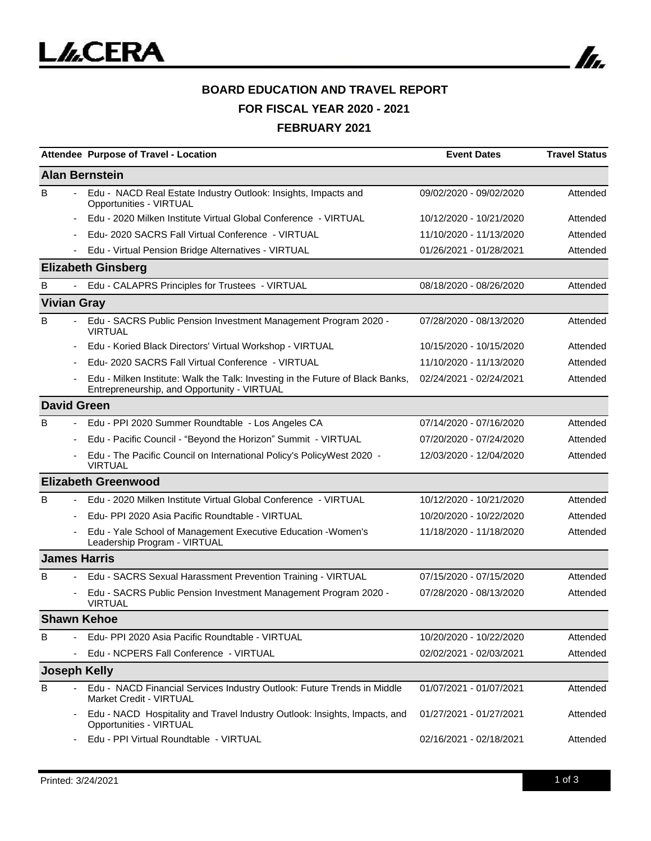

# **BOARD EDUCATION AND TRAVEL REPORT FOR FISCAL YEAR 2020 - 2021 FEBRUARY 2021**

|   | Attendee Purpose of Travel - Location                                                                                         | <b>Event Dates</b>      | <b>Travel Status</b> |
|---|-------------------------------------------------------------------------------------------------------------------------------|-------------------------|----------------------|
|   | <b>Alan Bernstein</b>                                                                                                         |                         |                      |
| B | Edu - NACD Real Estate Industry Outlook: Insights, Impacts and<br>Opportunities - VIRTUAL                                     | 09/02/2020 - 09/02/2020 | Attended             |
|   | Edu - 2020 Milken Institute Virtual Global Conference - VIRTUAL                                                               | 10/12/2020 - 10/21/2020 | Attended             |
|   | Edu- 2020 SACRS Fall Virtual Conference - VIRTUAL                                                                             | 11/10/2020 - 11/13/2020 | Attended             |
|   | Edu - Virtual Pension Bridge Alternatives - VIRTUAL                                                                           | 01/26/2021 - 01/28/2021 | Attended             |
|   | <b>Elizabeth Ginsberg</b>                                                                                                     |                         |                      |
| B | Edu - CALAPRS Principles for Trustees - VIRTUAL                                                                               | 08/18/2020 - 08/26/2020 | Attended             |
|   | <b>Vivian Gray</b>                                                                                                            |                         |                      |
| B | Edu - SACRS Public Pension Investment Management Program 2020 -<br><b>VIRTUAL</b>                                             | 07/28/2020 - 08/13/2020 | Attended             |
|   | Edu - Koried Black Directors' Virtual Workshop - VIRTUAL                                                                      | 10/15/2020 - 10/15/2020 | Attended             |
|   | Edu-2020 SACRS Fall Virtual Conference - VIRTUAL                                                                              | 11/10/2020 - 11/13/2020 | Attended             |
|   | Edu - Milken Institute: Walk the Talk: Investing in the Future of Black Banks,<br>Entrepreneurship, and Opportunity - VIRTUAL | 02/24/2021 - 02/24/2021 | Attended             |
|   | <b>David Green</b>                                                                                                            |                         |                      |
| B | Edu - PPI 2020 Summer Roundtable - Los Angeles CA                                                                             | 07/14/2020 - 07/16/2020 | Attended             |
|   | Edu - Pacific Council - "Beyond the Horizon" Summit - VIRTUAL                                                                 | 07/20/2020 - 07/24/2020 | Attended             |
|   | Edu - The Pacific Council on International Policy's PolicyWest 2020 -<br><b>VIRTUAL</b>                                       | 12/03/2020 - 12/04/2020 | Attended             |
|   | <b>Elizabeth Greenwood</b>                                                                                                    |                         |                      |
| B | Edu - 2020 Milken Institute Virtual Global Conference - VIRTUAL                                                               | 10/12/2020 - 10/21/2020 | Attended             |
|   | Edu- PPI 2020 Asia Pacific Roundtable - VIRTUAL                                                                               | 10/20/2020 - 10/22/2020 | Attended             |
|   | Edu - Yale School of Management Executive Education - Women's<br>Leadership Program - VIRTUAL                                 | 11/18/2020 - 11/18/2020 | Attended             |
|   | <b>James Harris</b>                                                                                                           |                         |                      |
| B | Edu - SACRS Sexual Harassment Prevention Training - VIRTUAL                                                                   | 07/15/2020 - 07/15/2020 | Attended             |
|   | Edu - SACRS Public Pension Investment Management Program 2020 -<br><b>VIRTUAL</b>                                             | 07/28/2020 - 08/13/2020 | Attended             |
|   | <b>Shawn Kehoe</b>                                                                                                            |                         |                      |
| B | Edu- PPI 2020 Asia Pacific Roundtable - VIRTUAL                                                                               | 10/20/2020 - 10/22/2020 | Attended             |
|   | Edu - NCPERS Fall Conference - VIRTUAL                                                                                        | 02/02/2021 - 02/03/2021 | Attended             |
|   | <b>Joseph Kelly</b>                                                                                                           |                         |                      |
| B | Edu - NACD Financial Services Industry Outlook: Future Trends in Middle<br><b>Market Credit - VIRTUAL</b>                     | 01/07/2021 - 01/07/2021 | Attended             |
|   | Edu - NACD Hospitality and Travel Industry Outlook: Insights, Impacts, and<br>Opportunities - VIRTUAL                         | 01/27/2021 - 01/27/2021 | Attended             |
|   | Edu - PPI Virtual Roundtable - VIRTUAL                                                                                        | 02/16/2021 - 02/18/2021 | Attended             |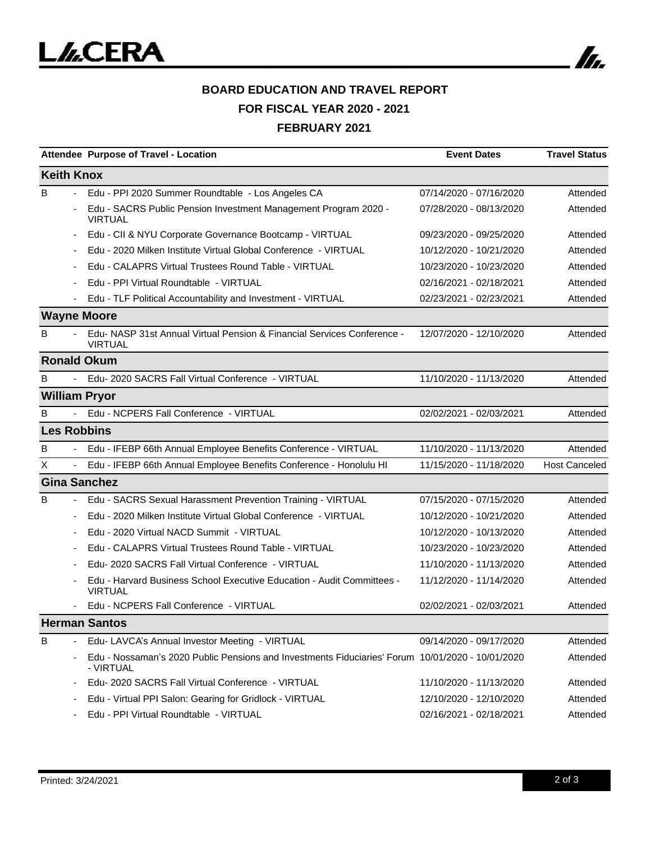

# **BOARD EDUCATION AND TRAVEL REPORT FOR FISCAL YEAR 2020 - 2021 FEBRUARY 2021**

|                               | Attendee Purpose of Travel - Location                                                                         | <b>Event Dates</b>      | <b>Travel Status</b> |
|-------------------------------|---------------------------------------------------------------------------------------------------------------|-------------------------|----------------------|
| <b>Keith Knox</b>             |                                                                                                               |                         |                      |
| B                             | Edu - PPI 2020 Summer Roundtable - Los Angeles CA                                                             | 07/14/2020 - 07/16/2020 | Attended             |
|                               | Edu - SACRS Public Pension Investment Management Program 2020 -<br><b>VIRTUAL</b>                             | 07/28/2020 - 08/13/2020 | Attended             |
|                               | Edu - CII & NYU Corporate Governance Bootcamp - VIRTUAL                                                       | 09/23/2020 - 09/25/2020 | Attended             |
|                               | Edu - 2020 Milken Institute Virtual Global Conference - VIRTUAL                                               | 10/12/2020 - 10/21/2020 | Attended             |
|                               | Edu - CALAPRS Virtual Trustees Round Table - VIRTUAL                                                          | 10/23/2020 - 10/23/2020 | Attended             |
|                               | Edu - PPI Virtual Roundtable - VIRTUAL                                                                        | 02/16/2021 - 02/18/2021 | Attended             |
|                               | Edu - TLF Political Accountability and Investment - VIRTUAL                                                   | 02/23/2021 - 02/23/2021 | Attended             |
| <b>Wayne Moore</b>            |                                                                                                               |                         |                      |
| B                             | Edu-NASP 31st Annual Virtual Pension & Financial Services Conference -<br><b>VIRTUAL</b>                      | 12/07/2020 - 12/10/2020 | Attended             |
| <b>Ronald Okum</b>            |                                                                                                               |                         |                      |
| B                             | - Edu- 2020 SACRS Fall Virtual Conference - VIRTUAL                                                           | 11/10/2020 - 11/13/2020 | Attended             |
| <b>William Pryor</b>          |                                                                                                               |                         |                      |
| B                             | Edu - NCPERS Fall Conference - VIRTUAL                                                                        | 02/02/2021 - 02/03/2021 | Attended             |
| <b>Les Robbins</b>            |                                                                                                               |                         |                      |
| B                             | Edu - IFEBP 66th Annual Employee Benefits Conference - VIRTUAL                                                | 11/10/2020 - 11/13/2020 | Attended             |
| X<br>$\overline{\phantom{a}}$ | Edu - IFEBP 66th Annual Employee Benefits Conference - Honolulu HI                                            | 11/15/2020 - 11/18/2020 | <b>Host Canceled</b> |
| <b>Gina Sanchez</b>           |                                                                                                               |                         |                      |
| B                             | Edu - SACRS Sexual Harassment Prevention Training - VIRTUAL                                                   | 07/15/2020 - 07/15/2020 | Attended             |
| $\overline{\phantom{a}}$      | Edu - 2020 Milken Institute Virtual Global Conference - VIRTUAL                                               | 10/12/2020 - 10/21/2020 | Attended             |
|                               | Edu - 2020 Virtual NACD Summit - VIRTUAL                                                                      | 10/12/2020 - 10/13/2020 | Attended             |
|                               | Edu - CALAPRS Virtual Trustees Round Table - VIRTUAL                                                          | 10/23/2020 - 10/23/2020 | Attended             |
|                               | Edu- 2020 SACRS Fall Virtual Conference - VIRTUAL                                                             | 11/10/2020 - 11/13/2020 | Attended             |
|                               | Edu - Harvard Business School Executive Education - Audit Committees -<br><b>VIRTUAL</b>                      | 11/12/2020 - 11/14/2020 | Attended             |
|                               | Edu - NCPERS Fall Conference - VIRTUAL                                                                        | 02/02/2021 - 02/03/2021 | Attended             |
|                               | <b>Herman Santos</b>                                                                                          |                         |                      |
| B                             | Edu- LAVCA's Annual Investor Meeting - VIRTUAL                                                                | 09/14/2020 - 09/17/2020 | Attended             |
|                               | Edu - Nossaman's 2020 Public Pensions and Investments Fiduciaries' Forum 10/01/2020 - 10/01/2020<br>- VIRTUAL |                         | Attended             |
|                               | Edu-2020 SACRS Fall Virtual Conference - VIRTUAL                                                              | 11/10/2020 - 11/13/2020 | Attended             |
|                               | Edu - Virtual PPI Salon: Gearing for Gridlock - VIRTUAL                                                       | 12/10/2020 - 12/10/2020 | Attended             |
|                               | Edu - PPI Virtual Roundtable - VIRTUAL                                                                        | 02/16/2021 - 02/18/2021 | Attended             |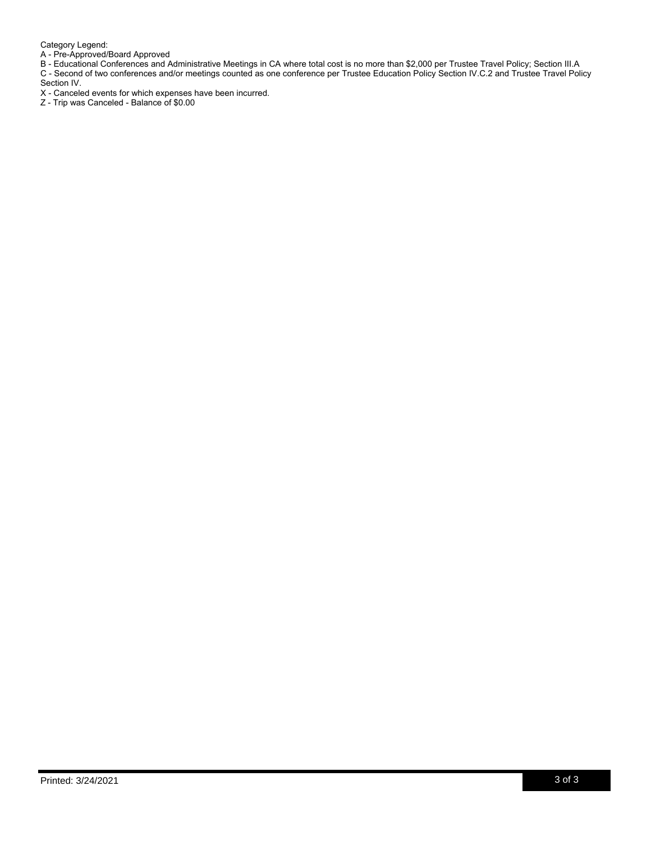Category Legend:

A - Pre-Approved/Board Approved

B - Educational Conferences and Administrative Meetings in CA where total cost is no more than \$2,000 per Trustee Travel Policy; Section III.A C - Second of two conferences and/or meetings counted as one conference per Trustee Education Policy Section IV.C.2 and Trustee Travel Policy Section IV.

X - Canceled events for which expenses have been incurred.

Z - Trip was Canceled - Balance of \$0.00